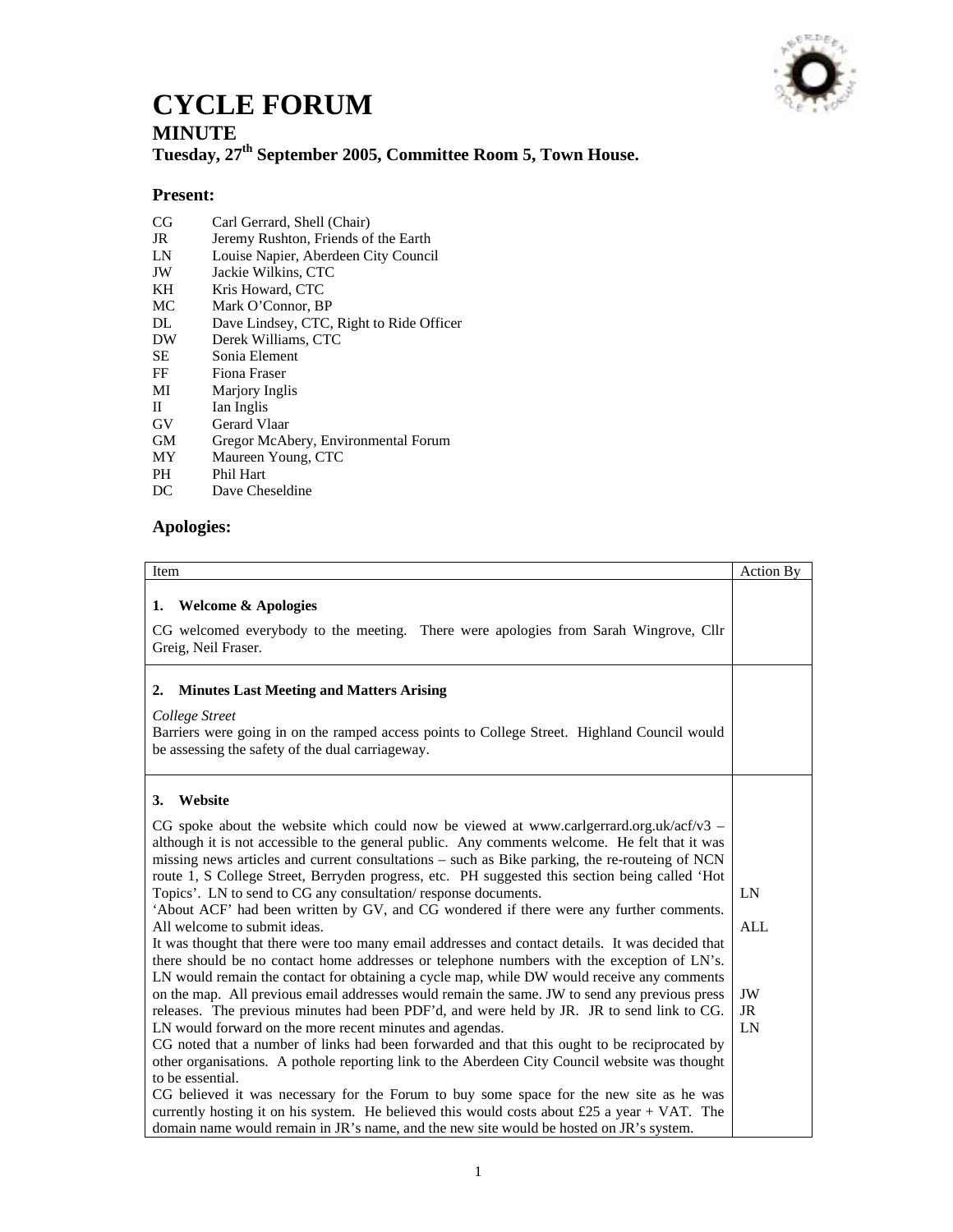

## **CYCLE FORUM**

## **MINUTE**

**Tuesday, 27th September 2005, Committee Room 5, Town House.** 

## **Present:**

- CG Carl Gerrard, Shell (Chair)
- JR Jeremy Rushton, Friends of the Earth<br>
LN Louise Napier, Aberdeen City Counci
- Louise Napier, Aberdeen City Council
- JW Jackie Wilkins, CTC
- KH Kris Howard, CTC<br>MC Mark O'Connor, BI
- Mark O'Connor, BP
- DL Dave Lindsey, CTC, Right to Ride Officer
- DW Derek Williams, CTC
- SE Sonia Element
- FF Fiona Fraser
- MI Marjory Inglis
- II Ian Inglis
- GV Gerard Vlaar
- GM Gregor McAbery, Environmental Forum<br>MY Maureen Young, CTC
- MY Maureen Young, CTC
- PH Phil Hart<br>DC Dave Che
- Dave Cheseldine

## **Apologies:**

| Item                                                                                                                                                                                                                                                                                                                                                                                                                                                                                                                                                                                                                                                                                                                                                                                                                                                                                                                                                                                                                                                                                                                                                                                                                                                                                                                                                                                                                                                                                                                                                                                                                                                                               | Action By                          |
|------------------------------------------------------------------------------------------------------------------------------------------------------------------------------------------------------------------------------------------------------------------------------------------------------------------------------------------------------------------------------------------------------------------------------------------------------------------------------------------------------------------------------------------------------------------------------------------------------------------------------------------------------------------------------------------------------------------------------------------------------------------------------------------------------------------------------------------------------------------------------------------------------------------------------------------------------------------------------------------------------------------------------------------------------------------------------------------------------------------------------------------------------------------------------------------------------------------------------------------------------------------------------------------------------------------------------------------------------------------------------------------------------------------------------------------------------------------------------------------------------------------------------------------------------------------------------------------------------------------------------------------------------------------------------------|------------------------------------|
| <b>Welcome &amp; Apologies</b><br>1.<br>CG welcomed everybody to the meeting. There were apologies from Sarah Wingrove, Cllr<br>Greig, Neil Fraser.                                                                                                                                                                                                                                                                                                                                                                                                                                                                                                                                                                                                                                                                                                                                                                                                                                                                                                                                                                                                                                                                                                                                                                                                                                                                                                                                                                                                                                                                                                                                |                                    |
| <b>Minutes Last Meeting and Matters Arising</b><br>2.<br>College Street<br>Barriers were going in on the ramped access points to College Street. Highland Council would<br>be assessing the safety of the dual carriageway.                                                                                                                                                                                                                                                                                                                                                                                                                                                                                                                                                                                                                                                                                                                                                                                                                                                                                                                                                                                                                                                                                                                                                                                                                                                                                                                                                                                                                                                        |                                    |
| Website<br>3.<br>CG spoke about the website which could now be viewed at www.carlgerrard.org.uk/acf/v3 –<br>although it is not accessible to the general public. Any comments welcome. He felt that it was<br>missing news articles and current consultations – such as Bike parking, the re-routeing of NCN<br>route 1, S College Street, Berryden progress, etc. PH suggested this section being called 'Hot<br>Topics'. LN to send to CG any consultation/response documents.<br>'About ACF' had been written by GV, and CG wondered if there were any further comments.<br>All welcome to submit ideas.<br>It was thought that there were too many email addresses and contact details. It was decided that<br>there should be no contact home addresses or telephone numbers with the exception of LN's.<br>LN would remain the contact for obtaining a cycle map, while DW would receive any comments<br>on the map. All previous email addresses would remain the same. JW to send any previous press<br>releases. The previous minutes had been PDF'd, and were held by JR. JR to send link to CG.<br>LN would forward on the more recent minutes and agendas.<br>CG noted that a number of links had been forwarded and that this ought to be reciprocated by<br>other organisations. A pothole reporting link to the Aberdeen City Council website was thought<br>to be essential.<br>CG believed it was necessary for the Forum to buy some space for the new site as he was<br>currently hosting it on his system. He believed this would costs about £25 a year + VAT. The<br>domain name would remain in JR's name, and the new site would be hosted on JR's system. | LN<br><b>ALL</b><br>JW<br>JR<br>LN |